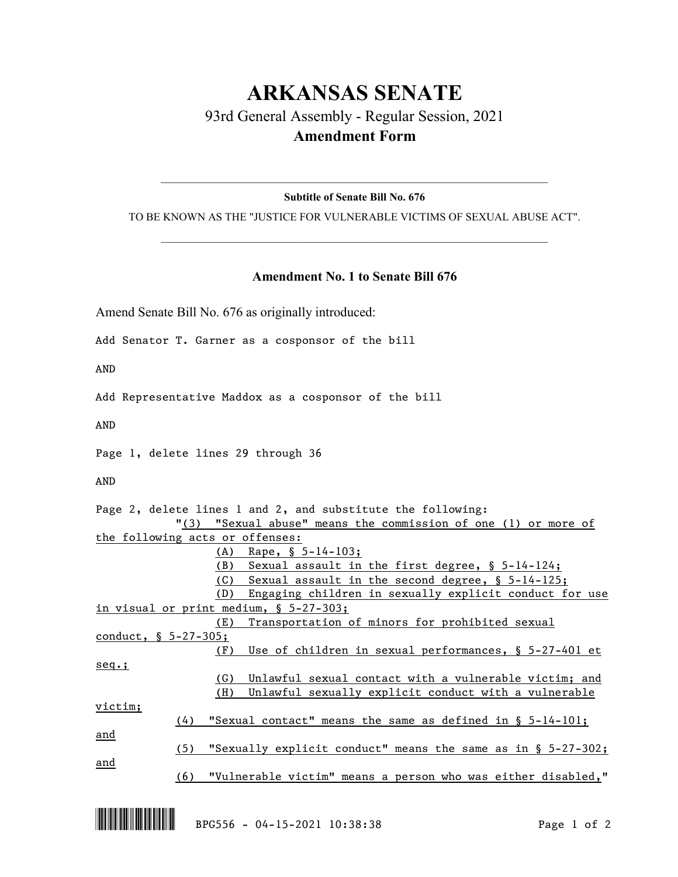## **ARKANSAS SENATE** 93rd General Assembly - Regular Session, 2021 **Amendment Form**

 $\_$  , and the set of the set of the set of the set of the set of the set of the set of the set of the set of the set of the set of the set of the set of the set of the set of the set of the set of the set of the set of th **Subtitle of Senate Bill No. 676**

TO BE KNOWN AS THE "JUSTICE FOR VULNERABLE VICTIMS OF SEXUAL ABUSE ACT".  $\_$  , and the set of the set of the set of the set of the set of the set of the set of the set of the set of the set of the set of the set of the set of the set of the set of the set of the set of the set of the set of th

## **Amendment No. 1 to Senate Bill 676**

Amend Senate Bill No. 676 as originally introduced:

Add Senator T. Garner as a cosponsor of the bill

AND

Add Representative Maddox as a cosponsor of the bill

AND

Page 1, delete lines 29 through 36

AND

| Page 2, delete lines 1 and 2, and substitute the following:            |  |
|------------------------------------------------------------------------|--|
| "(3) "Sexual abuse" means the commission of one (1) or more of         |  |
| the following acts or offenses:                                        |  |
| (A)<br>Rape, $\S$ 5-14-103;                                            |  |
| (B)<br>Sexual assault in the first degree, § 5-14-124;                 |  |
| Sexual assault in the second degree, § 5-14-125;<br>(C)                |  |
| Engaging children in sexually explicit conduct for use<br>(D)          |  |
| in visual or print medium, $\S$ 5-27-303;                              |  |
| (E)<br>Transportation of minors for prohibited sexual                  |  |
| conduct, § 5-27-305;                                                   |  |
| Use of children in sexual performances, § 5-27-401 et<br>(F)           |  |
| $seq.$ ;                                                               |  |
| (G)<br>Unlawful sexual contact with a vulnerable victim; and           |  |
| (H)<br>Unlawful sexually explicit conduct with a vulnerable            |  |
| victim;                                                                |  |
| "Sexual contact" means the same as defined in $\S$ 5-14-101;<br>(4)    |  |
| and                                                                    |  |
| "Sexually explicit conduct" means the same as in $\S$ 5-27-302;<br>(5) |  |
| <u>and</u>                                                             |  |
| (6)<br>"Vulnerable victim" means a person who was either disabled,"    |  |
|                                                                        |  |